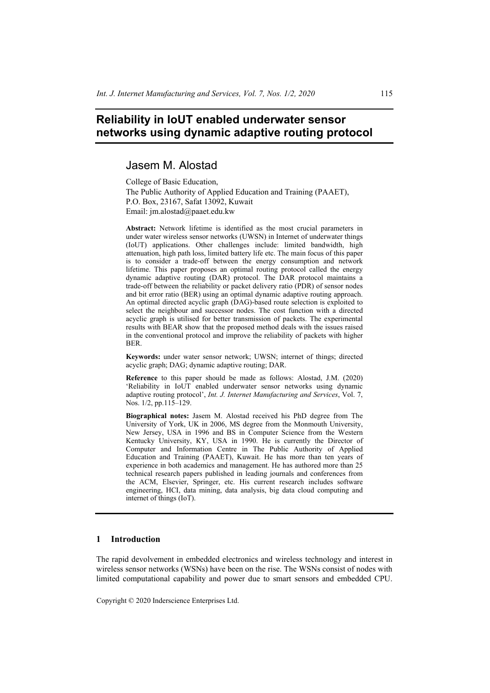# **Reliability in IoUT enabled underwater sensor networks using dynamic adaptive routing protocol**

# Jasem M. Alostad

College of Basic Education, The Public Authority of Applied Education and Training (PAAET), P.O. Box, 23167, Safat 13092, Kuwait Email: jm.alostad@paaet.edu.kw

**Abstract:** Network lifetime is identified as the most crucial parameters in under water wireless sensor networks (UWSN) in Internet of underwater things (IoUT) applications. Other challenges include: limited bandwidth, high attenuation, high path loss, limited battery life etc. The main focus of this paper is to consider a trade-off between the energy consumption and network lifetime. This paper proposes an optimal routing protocol called the energy dynamic adaptive routing (DAR) protocol. The DAR protocol maintains a trade-off between the reliability or packet delivery ratio (PDR) of sensor nodes and bit error ratio (BER) using an optimal dynamic adaptive routing approach. An optimal directed acyclic graph (DAG)-based route selection is exploited to select the neighbour and successor nodes. The cost function with a directed acyclic graph is utilised for better transmission of packets. The experimental results with BEAR show that the proposed method deals with the issues raised in the conventional protocol and improve the reliability of packets with higher BER.

**Keywords:** under water sensor network; UWSN; internet of things; directed acyclic graph; DAG; dynamic adaptive routing; DAR.

**Reference** to this paper should be made as follows: Alostad, J.M. (2020) 'Reliability in IoUT enabled underwater sensor networks using dynamic adaptive routing protocol', *Int. J. Internet Manufacturing and Services*, Vol. 7, Nos. 1/2, pp.115–129.

**Biographical notes:** Jasem M. Alostad received his PhD degree from The University of York, UK in 2006, MS degree from the Monmouth University, New Jersey, USA in 1996 and BS in Computer Science from the Western Kentucky University, KY, USA in 1990. He is currently the Director of Computer and Information Centre in The Public Authority of Applied Education and Training (PAAET), Kuwait. He has more than ten years of experience in both academics and management. He has authored more than 25 technical research papers published in leading journals and conferences from the ACM, Elsevier, Springer, etc. His current research includes software engineering, HCI, data mining, data analysis, big data cloud computing and internet of things (IoT).

## **1 Introduction**

The rapid devolvement in embedded electronics and wireless technology and interest in wireless sensor networks (WSNs) have been on the rise. The WSNs consist of nodes with limited computational capability and power due to smart sensors and embedded CPU.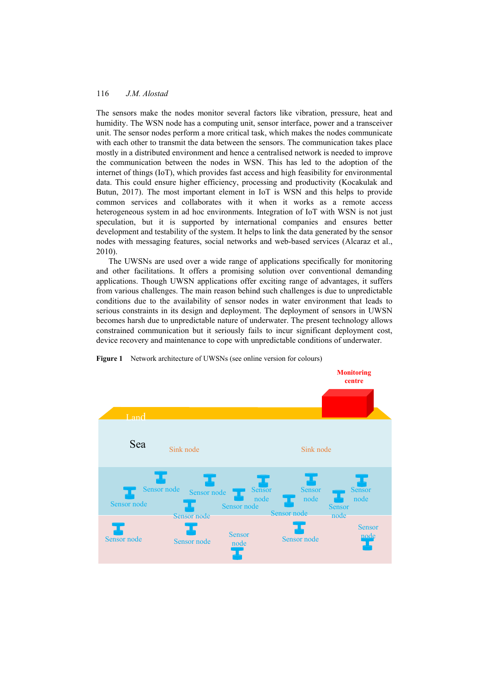The sensors make the nodes monitor several factors like vibration, pressure, heat and humidity. The WSN node has a computing unit, sensor interface, power and a transceiver unit. The sensor nodes perform a more critical task, which makes the nodes communicate with each other to transmit the data between the sensors. The communication takes place mostly in a distributed environment and hence a centralised network is needed to improve the communication between the nodes in WSN. This has led to the adoption of the internet of things (IoT), which provides fast access and high feasibility for environmental data. This could ensure higher efficiency, processing and productivity (Kocakulak and Butun, 2017). The most important element in IoT is WSN and this helps to provide common services and collaborates with it when it works as a remote access heterogeneous system in ad hoc environments. Integration of IoT with WSN is not just speculation, but it is supported by international companies and ensures better development and testability of the system. It helps to link the data generated by the sensor nodes with messaging features, social networks and web-based services (Alcaraz et al., 2010).

The UWSNs are used over a wide range of applications specifically for monitoring and other facilitations. It offers a promising solution over conventional demanding applications. Though UWSN applications offer exciting range of advantages, it suffers from various challenges. The main reason behind such challenges is due to unpredictable conditions due to the availability of sensor nodes in water environment that leads to serious constraints in its design and deployment. The deployment of sensors in UWSN becomes harsh due to unpredictable nature of underwater. The present technology allows constrained communication but it seriously fails to incur significant deployment cost, device recovery and maintenance to cope with unpredictable conditions of underwater.

**Figure 1** Network architecture of UWSNs (see online version for colours)

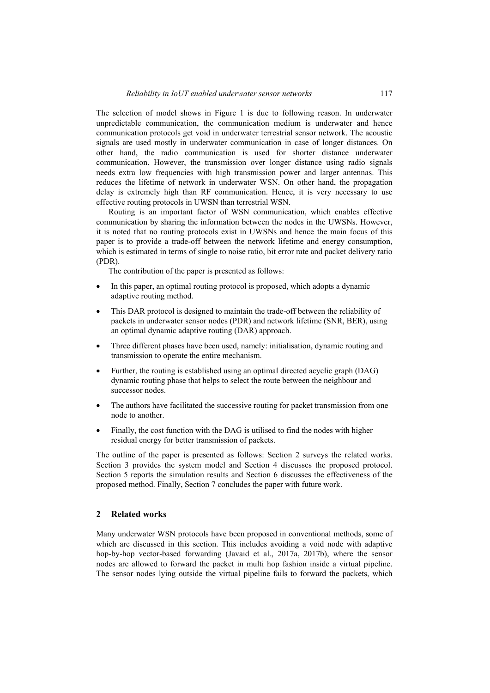The selection of model shows in Figure 1 is due to following reason. In underwater unpredictable communication, the communication medium is underwater and hence communication protocols get void in underwater terrestrial sensor network. The acoustic signals are used mostly in underwater communication in case of longer distances. On other hand, the radio communication is used for shorter distance underwater communication. However, the transmission over longer distance using radio signals needs extra low frequencies with high transmission power and larger antennas. This reduces the lifetime of network in underwater WSN. On other hand, the propagation delay is extremely high than RF communication. Hence, it is very necessary to use effective routing protocols in UWSN than terrestrial WSN.

Routing is an important factor of WSN communication, which enables effective communication by sharing the information between the nodes in the UWSNs. However, it is noted that no routing protocols exist in UWSNs and hence the main focus of this paper is to provide a trade-off between the network lifetime and energy consumption, which is estimated in terms of single to noise ratio, bit error rate and packet delivery ratio (PDR).

The contribution of the paper is presented as follows:

- In this paper, an optimal routing protocol is proposed, which adopts a dynamic adaptive routing method.
- This DAR protocol is designed to maintain the trade-off between the reliability of packets in underwater sensor nodes (PDR) and network lifetime (SNR, BER), using an optimal dynamic adaptive routing (DAR) approach.
- Three different phases have been used, namely: initialisation, dynamic routing and transmission to operate the entire mechanism.
- Further, the routing is established using an optimal directed acyclic graph (DAG) dynamic routing phase that helps to select the route between the neighbour and successor nodes.
- The authors have facilitated the successive routing for packet transmission from one node to another.
- Finally, the cost function with the DAG is utilised to find the nodes with higher residual energy for better transmission of packets.

The outline of the paper is presented as follows: Section 2 surveys the related works. Section 3 provides the system model and Section 4 discusses the proposed protocol. Section 5 reports the simulation results and Section 6 discusses the effectiveness of the proposed method. Finally, Section 7 concludes the paper with future work.

### **2 Related works**

Many underwater WSN protocols have been proposed in conventional methods, some of which are discussed in this section. This includes avoiding a void node with adaptive hop-by-hop vector-based forwarding (Javaid et al., 2017a, 2017b), where the sensor nodes are allowed to forward the packet in multi hop fashion inside a virtual pipeline. The sensor nodes lying outside the virtual pipeline fails to forward the packets, which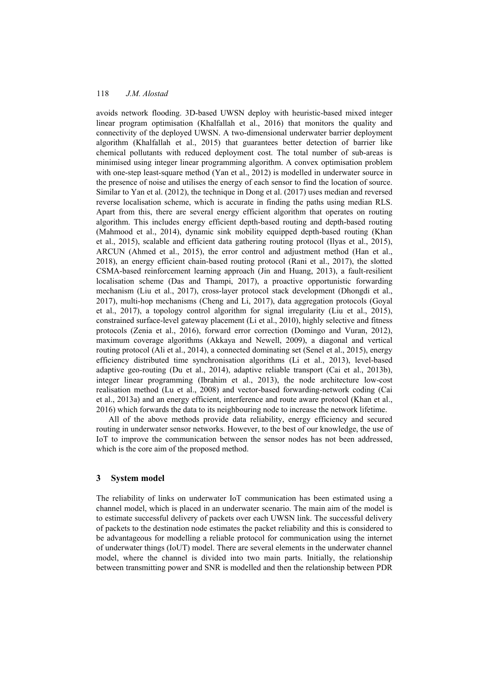avoids network flooding. 3D-based UWSN deploy with heuristic-based mixed integer linear program optimisation (Khalfallah et al., 2016) that monitors the quality and connectivity of the deployed UWSN. A two-dimensional underwater barrier deployment algorithm (Khalfallah et al., 2015) that guarantees better detection of barrier like chemical pollutants with reduced deployment cost. The total number of sub-areas is minimised using integer linear programming algorithm. A convex optimisation problem with one-step least-square method (Yan et al., 2012) is modelled in underwater source in the presence of noise and utilises the energy of each sensor to find the location of source. Similar to Yan et al. (2012), the technique in Dong et al. (2017) uses median and reversed reverse localisation scheme, which is accurate in finding the paths using median RLS. Apart from this, there are several energy efficient algorithm that operates on routing algorithm. This includes energy efficient depth-based routing and depth-based routing (Mahmood et al., 2014), dynamic sink mobility equipped depth-based routing (Khan et al., 2015), scalable and efficient data gathering routing protocol (Ilyas et al., 2015), ARCUN (Ahmed et al., 2015), the error control and adjustment method (Han et al., 2018), an energy efficient chain-based routing protocol (Rani et al., 2017), the slotted CSMA-based reinforcement learning approach (Jin and Huang, 2013), a fault-resilient localisation scheme (Das and Thampi, 2017), a proactive opportunistic forwarding mechanism (Liu et al., 2017), cross-layer protocol stack development (Dhongdi et al., 2017), multi-hop mechanisms (Cheng and Li, 2017), data aggregation protocols (Goyal et al., 2017), a topology control algorithm for signal irregularity (Liu et al., 2015), constrained surface-level gateway placement (Li et al., 2010), highly selective and fitness protocols (Zenia et al., 2016), forward error correction (Domingo and Vuran, 2012), maximum coverage algorithms (Akkaya and Newell, 2009), a diagonal and vertical routing protocol (Ali et al., 2014), a connected dominating set (Senel et al., 2015), energy efficiency distributed time synchronisation algorithms (Li et al., 2013), level-based adaptive geo-routing (Du et al., 2014), adaptive reliable transport (Cai et al., 2013b), integer linear programming (Ibrahim et al., 2013), the node architecture low-cost realisation method (Lu et al., 2008) and vector-based forwarding-network coding (Cai et al., 2013a) and an energy efficient, interference and route aware protocol (Khan et al., 2016) which forwards the data to its neighbouring node to increase the network lifetime.

All of the above methods provide data reliability, energy efficiency and secured routing in underwater sensor networks. However, to the best of our knowledge, the use of IoT to improve the communication between the sensor nodes has not been addressed, which is the core aim of the proposed method.

## **3 System model**

The reliability of links on underwater IoT communication has been estimated using a channel model, which is placed in an underwater scenario. The main aim of the model is to estimate successful delivery of packets over each UWSN link. The successful delivery of packets to the destination node estimates the packet reliability and this is considered to be advantageous for modelling a reliable protocol for communication using the internet of underwater things (IoUT) model. There are several elements in the underwater channel model, where the channel is divided into two main parts. Initially, the relationship between transmitting power and SNR is modelled and then the relationship between PDR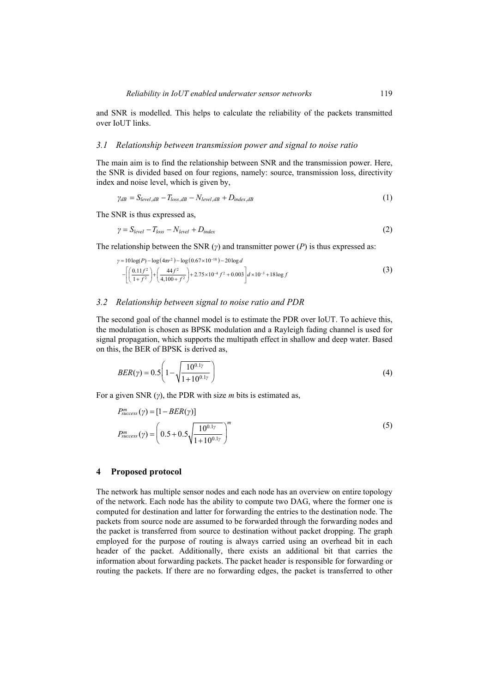and SNR is modelled. This helps to calculate the reliability of the packets transmitted over IoUT links.

#### *3.1 Relationship between transmission power and signal to noise ratio*

The main aim is to find the relationship between SNR and the transmission power. Here, the SNR is divided based on four regions, namely: source, transmission loss, directivity index and noise level, which is given by,

$$
\gamma_{dB} = S_{level, dB} - T_{loss, dB} - N_{level, dB} + D_{index, dB}
$$
\n(1)

The SNR is thus expressed as,

$$
\gamma = S_{level} - T_{loss} - N_{level} + D_{index} \tag{2}
$$

The relationship between the SNR (*γ*) and transmitter power (*P*) is thus expressed as:

$$
\gamma = 10 \log(P) - \log(4\pi r^2) - \log(0.67 \times 10^{-18}) - 20 \log d
$$
  
 
$$
- \left[ \left( \frac{0.11f^2}{1+f^2} \right) + \left( \frac{44f^2}{4,100+f^2} \right) + 2.75 \times 10^{-4} f^2 + 0.003 \right] d \times 10^{-3} + 18 \log f
$$
 (3)

#### *3.2 Relationship between signal to noise ratio and PDR*

The second goal of the channel model is to estimate the PDR over IoUT. To achieve this, the modulation is chosen as BPSK modulation and a Rayleigh fading channel is used for signal propagation, which supports the multipath effect in shallow and deep water. Based on this, the BER of BPSK is derived as,

$$
BER(\gamma) = 0.5 \left( 1 - \sqrt{\frac{10^{0.1\gamma}}{1 + 10^{0.1\gamma}}} \right) \tag{4}
$$

For a given SNR (*γ*), the PDR with size *m* bits is estimated as,

$$
P_{success}^{m}(\gamma) = [1 - BER(\gamma)]
$$
  
\n
$$
P_{success}^{m}(\gamma) = \left(0.5 + 0.5\sqrt{\frac{10^{0.1\gamma}}{1 + 10^{0.1\gamma}}}\right)^{m}
$$
\n(5)

#### **4 Proposed protocol**

The network has multiple sensor nodes and each node has an overview on entire topology of the network. Each node has the ability to compute two DAG, where the former one is computed for destination and latter for forwarding the entries to the destination node. The packets from source node are assumed to be forwarded through the forwarding nodes and the packet is transferred from source to destination without packet dropping. The graph employed for the purpose of routing is always carried using an overhead bit in each header of the packet. Additionally, there exists an additional bit that carries the information about forwarding packets. The packet header is responsible for forwarding or routing the packets. If there are no forwarding edges, the packet is transferred to other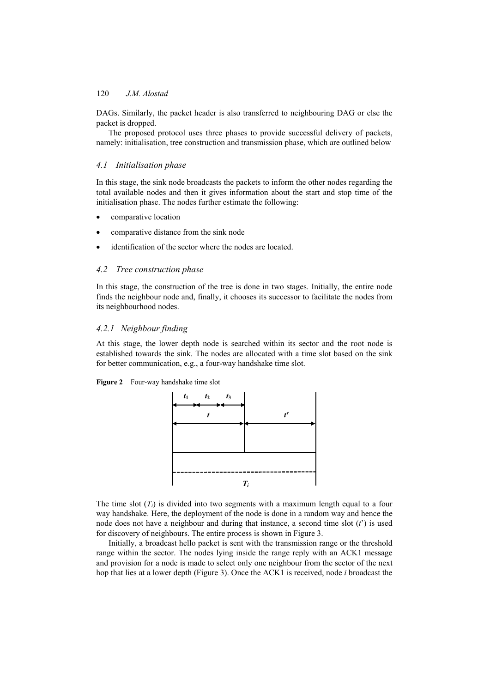DAGs. Similarly, the packet header is also transferred to neighbouring DAG or else the packet is dropped.

The proposed protocol uses three phases to provide successful delivery of packets, namely: initialisation, tree construction and transmission phase, which are outlined below

## *4.1 Initialisation phase*

In this stage, the sink node broadcasts the packets to inform the other nodes regarding the total available nodes and then it gives information about the start and stop time of the initialisation phase. The nodes further estimate the following:

- comparative location
- comparative distance from the sink node
- identification of the sector where the nodes are located.

## *4.2 Tree construction phase*

In this stage, the construction of the tree is done in two stages. Initially, the entire node finds the neighbour node and, finally, it chooses its successor to facilitate the nodes from its neighbourhood nodes.

## *4.2.1 Neighbour finding*

At this stage, the lower depth node is searched within its sector and the root node is established towards the sink. The nodes are allocated with a time slot based on the sink for better communication, e.g., a four-way handshake time slot.





The time slot  $(T_i)$  is divided into two segments with a maximum length equal to a four way handshake. Here, the deployment of the node is done in a random way and hence the node does not have a neighbour and during that instance, a second time slot (*t*') is used for discovery of neighbours. The entire process is shown in Figure 3.

Initially, a broadcast hello packet is sent with the transmission range or the threshold range within the sector. The nodes lying inside the range reply with an ACK1 message and provision for a node is made to select only one neighbour from the sector of the next hop that lies at a lower depth (Figure 3). Once the ACK1 is received, node *i* broadcast the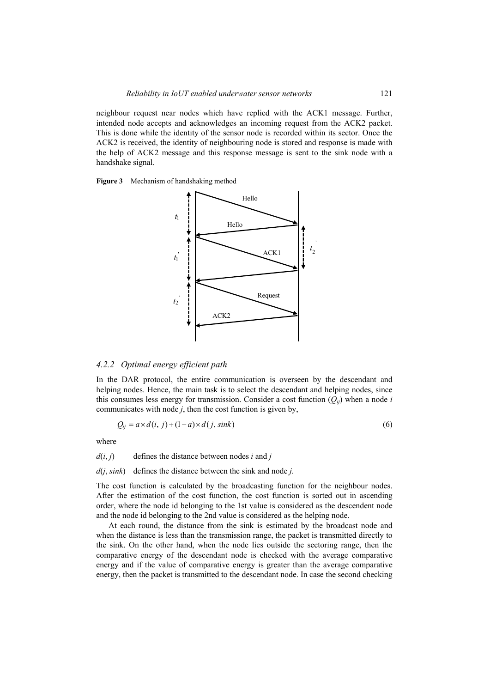neighbour request near nodes which have replied with the ACK1 message. Further, intended node accepts and acknowledges an incoming request from the ACK2 packet. This is done while the identity of the sensor node is recorded within its sector. Once the ACK2 is received, the identity of neighbouring node is stored and response is made with the help of ACK2 message and this response message is sent to the sink node with a handshake signal.





#### *4.2.2 Optimal energy efficient path*

In the DAR protocol, the entire communication is overseen by the descendant and helping nodes. Hence, the main task is to select the descendant and helping nodes, since this consumes less energy for transmission. Consider a cost function  $(O_{ii})$  when a node *i* communicates with node *j*, then the cost function is given by,

$$
Q_{ij} = a \times d(i, j) + (1 - a) \times d(j, sink)
$$
\n<sup>(6)</sup>

where

 $d(i, j)$  defines the distance between nodes *i* and *j* 

*d*(*j*, *sink*) defines the distance between the sink and node *j*.

The cost function is calculated by the broadcasting function for the neighbour nodes. After the estimation of the cost function, the cost function is sorted out in ascending order, where the node id belonging to the 1st value is considered as the descendent node and the node id belonging to the 2nd value is considered as the helping node.

At each round, the distance from the sink is estimated by the broadcast node and when the distance is less than the transmission range, the packet is transmitted directly to the sink. On the other hand, when the node lies outside the sectoring range, then the comparative energy of the descendant node is checked with the average comparative energy and if the value of comparative energy is greater than the average comparative energy, then the packet is transmitted to the descendant node. In case the second checking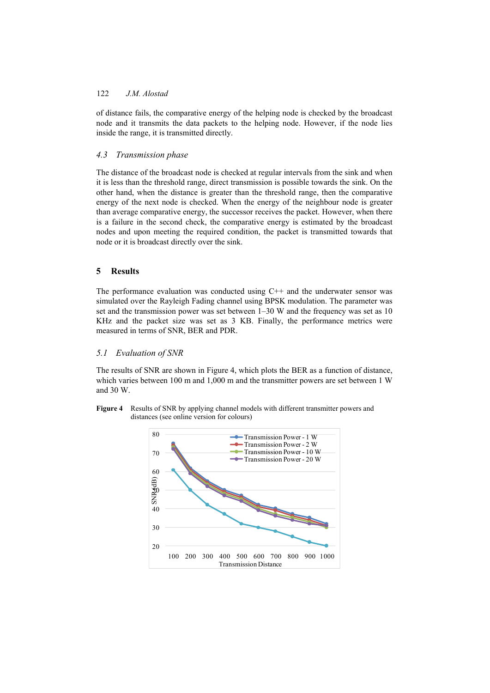of distance fails, the comparative energy of the helping node is checked by the broadcast node and it transmits the data packets to the helping node. However, if the node lies inside the range, it is transmitted directly.

# *4.3 Transmission phase*

The distance of the broadcast node is checked at regular intervals from the sink and when it is less than the threshold range, direct transmission is possible towards the sink. On the other hand, when the distance is greater than the threshold range, then the comparative energy of the next node is checked. When the energy of the neighbour node is greater than average comparative energy, the successor receives the packet. However, when there is a failure in the second check, the comparative energy is estimated by the broadcast nodes and upon meeting the required condition, the packet is transmitted towards that node or it is broadcast directly over the sink.

# **5 Results**

The performance evaluation was conducted using  $C++$  and the underwater sensor was simulated over the Rayleigh Fading channel using BPSK modulation. The parameter was set and the transmission power was set between 1–30 W and the frequency was set as 10 KHz and the packet size was set as 3 KB. Finally, the performance metrics were measured in terms of SNR, BER and PDR.

# *5.1 Evaluation of SNR*

The results of SNR are shown in Figure 4, which plots the BER as a function of distance, which varies between 100 m and 1,000 m and the transmitter powers are set between 1 W and 30 W.

**Figure 4** Results of SNR by applying channel models with different transmitter powers and distances (see online version for colours)

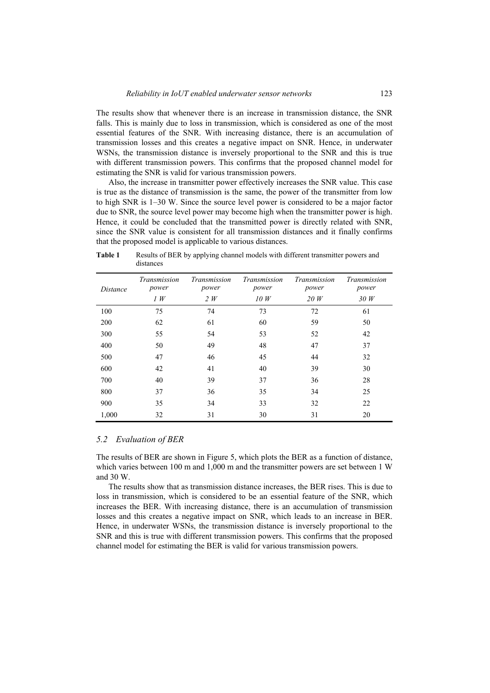The results show that whenever there is an increase in transmission distance, the SNR falls. This is mainly due to loss in transmission, which is considered as one of the most essential features of the SNR. With increasing distance, there is an accumulation of transmission losses and this creates a negative impact on SNR. Hence, in underwater WSNs, the transmission distance is inversely proportional to the SNR and this is true with different transmission powers. This confirms that the proposed channel model for estimating the SNR is valid for various transmission powers.

Also, the increase in transmitter power effectively increases the SNR value. This case is true as the distance of transmission is the same, the power of the transmitter from low to high SNR is 1–30 W. Since the source level power is considered to be a major factor due to SNR, the source level power may become high when the transmitter power is high. Hence, it could be concluded that the transmitted power is directly related with SNR, since the SNR value is consistent for all transmission distances and it finally confirms that the proposed model is applicable to various distances.

| Distance | Transmission<br>power<br>1 W | Transmission<br>power<br>2W | Transmission<br>power<br>10W | Transmission<br>power<br>20W | Transmission<br>power<br>30W |
|----------|------------------------------|-----------------------------|------------------------------|------------------------------|------------------------------|
| 100      | 75                           | 74                          | 73                           | 72                           | 61                           |
| 200      | 62                           | 61                          | 60                           | 59                           | 50                           |
| 300      | 55                           | 54                          | 53                           | 52                           | 42                           |
| 400      | 50                           | 49                          | 48                           | 47                           | 37                           |
| 500      | 47                           | 46                          | 45                           | 44                           | 32                           |
| 600      | 42                           | 41                          | 40                           | 39                           | 30                           |
| 700      | 40                           | 39                          | 37                           | 36                           | 28                           |
| 800      | 37                           | 36                          | 35                           | 34                           | 25                           |
| 900      | 35                           | 34                          | 33                           | 32                           | 22                           |
| 1,000    | 32                           | 31                          | 30                           | 31                           | 20                           |

**Table 1** Results of BER by applying channel models with different transmitter powers and distances

#### *5.2 Evaluation of BER*

The results of BER are shown in Figure 5, which plots the BER as a function of distance, which varies between 100 m and 1,000 m and the transmitter powers are set between 1 W and 30 W.

The results show that as transmission distance increases, the BER rises. This is due to loss in transmission, which is considered to be an essential feature of the SNR, which increases the BER. With increasing distance, there is an accumulation of transmission losses and this creates a negative impact on SNR, which leads to an increase in BER. Hence, in underwater WSNs, the transmission distance is inversely proportional to the SNR and this is true with different transmission powers. This confirms that the proposed channel model for estimating the BER is valid for various transmission powers.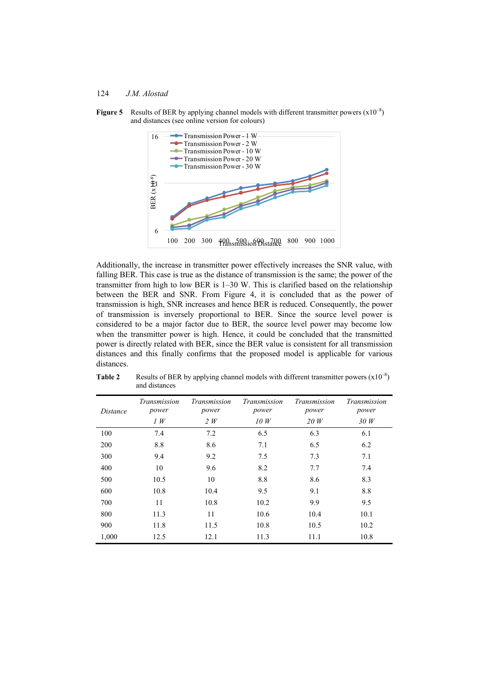



Additionally, the increase in transmitter power effectively increases the SNR value, with falling BER. This case is true as the distance of transmission is the same; the power of the transmitter from high to low BER is 1–30 W. This is clarified based on the relationship between the BER and SNR. From Figure 4, it is concluded that as the power of transmission is high, SNR increases and hence BER is reduced. Consequently, the power of transmission is inversely proportional to BER. Since the source level power is considered to be a major factor due to BER, the source level power may become low when the transmitter power is high. Hence, it could be concluded that the transmitted power is directly related with BER, since the BER value is consistent for all transmission distances and this finally confirms that the proposed model is applicable for various distances.

| Distance | Transmission<br>power | Transmission<br>power | Transmission<br>power | <i>Transmission</i><br>power | Transmission<br>power |
|----------|-----------------------|-----------------------|-----------------------|------------------------------|-----------------------|
|          | 1 W                   | 2W                    | 10W                   | 20W                          | 30W                   |
| 100      | 7.4                   | 7.2                   | 6.5                   | 6.3                          | 6.1                   |
| 200      | 8.8                   | 8.6                   | 7.1                   | 6.5                          | 6.2                   |
| 300      | 9.4                   | 9.2                   | 7.5                   | 7.3                          | 7.1                   |
| 400      | 10                    | 9.6                   | 8.2                   | 7.7                          | 7.4                   |
| 500      | 10.5                  | 10                    | 8.8                   | 8.6                          | 8.3                   |
| 600      | 10.8                  | 10.4                  | 9.5                   | 9.1                          | 8.8                   |
| 700      | 11                    | 10.8                  | 10.2                  | 9.9                          | 9.5                   |
| 800      | 11.3                  | 11                    | 10.6                  | 10.4                         | 10.1                  |
| 900      | 11.8                  | 11.5                  | 10.8                  | 10.5                         | 10.2                  |
| 1,000    | 12.5                  | 12.1                  | 11.3                  | 11.1                         | 10.8                  |

**Table 2** Results of BER by applying channel models with different transmitter powers  $(x10^{-8})$ and distances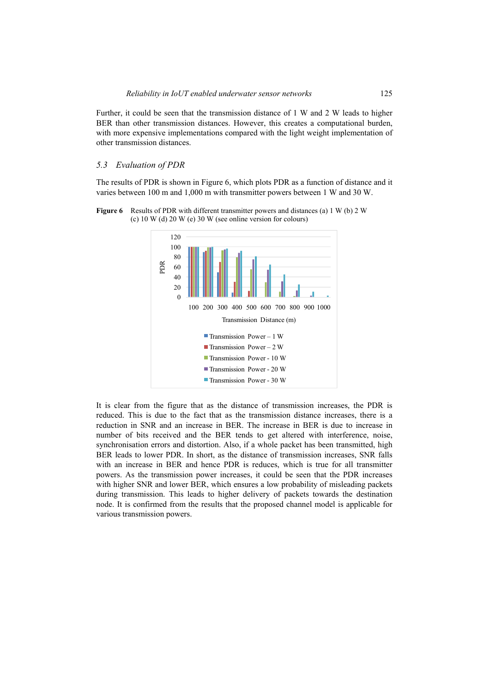Further, it could be seen that the transmission distance of 1 W and 2 W leads to higher BER than other transmission distances. However, this creates a computational burden, with more expensive implementations compared with the light weight implementation of other transmission distances.

#### *5.3 Evaluation of PDR*

The results of PDR is shown in Figure 6, which plots PDR as a function of distance and it varies between 100 m and 1,000 m with transmitter powers between 1 W and 30 W.

**Figure 6** Results of PDR with different transmitter powers and distances (a) 1 W (b) 2 W (c) 10 W (d) 20 W (e) 30 W (see online version for colours)



It is clear from the figure that as the distance of transmission increases, the PDR is reduced. This is due to the fact that as the transmission distance increases, there is a reduction in SNR and an increase in BER. The increase in BER is due to increase in number of bits received and the BER tends to get altered with interference, noise, synchronisation errors and distortion. Also, if a whole packet has been transmitted, high BER leads to lower PDR. In short, as the distance of transmission increases, SNR falls with an increase in BER and hence PDR is reduces, which is true for all transmitter powers. As the transmission power increases, it could be seen that the PDR increases with higher SNR and lower BER, which ensures a low probability of misleading packets during transmission. This leads to higher delivery of packets towards the destination node. It is confirmed from the results that the proposed channel model is applicable for various transmission powers.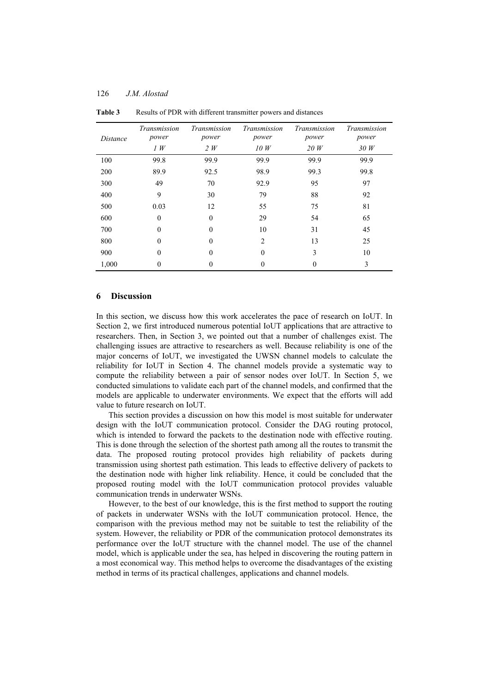| Distance | Transmission<br>power | Transmission<br>power | Transmission<br>power | Transmission<br>power | Transmission<br>power |
|----------|-----------------------|-----------------------|-----------------------|-----------------------|-----------------------|
|          | 1 W                   | 2W                    | 10W                   | 20W                   | 30W                   |
| 100      | 99.8                  | 99.9                  | 99.9                  | 99.9                  | 99.9                  |
| 200      | 89.9                  | 92.5                  | 98.9                  | 99.3                  | 99.8                  |
| 300      | 49                    | 70                    | 92.9                  | 95                    | 97                    |
| 400      | 9                     | 30                    | 79                    | 88                    | 92                    |
| 500      | 0.03                  | 12                    | 55                    | 75                    | 81                    |
| 600      | $\theta$              | $\Omega$              | 29                    | 54                    | 65                    |
| 700      | $\theta$              | $\Omega$              | 10                    | 31                    | 45                    |
| 800      | $\theta$              | $\Omega$              | 2                     | 13                    | 25                    |
| 900      | $\theta$              | $\Omega$              | $\Omega$              | 3                     | 10                    |
| 1,000    | 0                     |                       | $\Omega$              | 0                     | 3                     |

**Table 3** Results of PDR with different transmitter powers and distances

### **6 Discussion**

In this section, we discuss how this work accelerates the pace of research on IoUT. In Section 2, we first introduced numerous potential IoUT applications that are attractive to researchers. Then, in Section 3, we pointed out that a number of challenges exist. The challenging issues are attractive to researchers as well. Because reliability is one of the major concerns of IoUT, we investigated the UWSN channel models to calculate the reliability for IoUT in Section 4. The channel models provide a systematic way to compute the reliability between a pair of sensor nodes over IoUT. In Section 5, we conducted simulations to validate each part of the channel models, and confirmed that the models are applicable to underwater environments. We expect that the efforts will add value to future research on IoUT.

This section provides a discussion on how this model is most suitable for underwater design with the IoUT communication protocol. Consider the DAG routing protocol, which is intended to forward the packets to the destination node with effective routing. This is done through the selection of the shortest path among all the routes to transmit the data. The proposed routing protocol provides high reliability of packets during transmission using shortest path estimation. This leads to effective delivery of packets to the destination node with higher link reliability. Hence, it could be concluded that the proposed routing model with the IoUT communication protocol provides valuable communication trends in underwater WSNs.

However, to the best of our knowledge, this is the first method to support the routing of packets in underwater WSNs with the IoUT communication protocol. Hence, the comparison with the previous method may not be suitable to test the reliability of the system. However, the reliability or PDR of the communication protocol demonstrates its performance over the IoUT structure with the channel model. The use of the channel model, which is applicable under the sea, has helped in discovering the routing pattern in a most economical way. This method helps to overcome the disadvantages of the existing method in terms of its practical challenges, applications and channel models.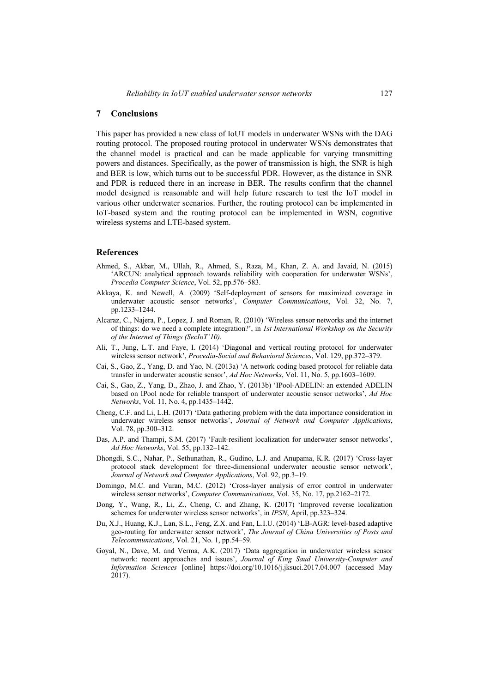#### **7 Conclusions**

This paper has provided a new class of IoUT models in underwater WSNs with the DAG routing protocol. The proposed routing protocol in underwater WSNs demonstrates that the channel model is practical and can be made applicable for varying transmitting powers and distances. Specifically, as the power of transmission is high, the SNR is high and BER is low, which turns out to be successful PDR. However, as the distance in SNR and PDR is reduced there in an increase in BER. The results confirm that the channel model designed is reasonable and will help future research to test the IoT model in various other underwater scenarios. Further, the routing protocol can be implemented in IoT-based system and the routing protocol can be implemented in WSN, cognitive wireless systems and LTE-based system.

#### **References**

- Ahmed, S., Akbar, M., Ullah, R., Ahmed, S., Raza, M., Khan, Z. A. and Javaid, N. (2015) 'ARCUN: analytical approach towards reliability with cooperation for underwater WSNs', *Procedia Computer Science*, Vol. 52, pp.576–583.
- Akkaya, K. and Newell, A. (2009) 'Self-deployment of sensors for maximized coverage in underwater acoustic sensor networks', *Computer Communications*, Vol. 32, No. 7, pp.1233–1244.
- Alcaraz, C., Najera, P., Lopez, J. and Roman, R. (2010) 'Wireless sensor networks and the internet of things: do we need a complete integration?', in *1st International Workshop on the Security of the Internet of Things (SecIoT'10)*.
- Ali, T., Jung, L.T. and Faye, I. (2014) 'Diagonal and vertical routing protocol for underwater wireless sensor network', *Procedia-Social and Behavioral Sciences*, Vol. 129, pp.372–379.
- Cai, S., Gao, Z., Yang, D. and Yao, N. (2013a) 'A network coding based protocol for reliable data transfer in underwater acoustic sensor', *Ad Hoc Networks*, Vol. 11, No. 5, pp.1603–1609.
- Cai, S., Gao, Z., Yang, D., Zhao, J. and Zhao, Y. (2013b) 'IPool-ADELIN: an extended ADELIN based on IPool node for reliable transport of underwater acoustic sensor networks', *Ad Hoc Networks*, Vol. 11, No. 4, pp.1435–1442.
- Cheng, C.F. and Li, L.H. (2017) 'Data gathering problem with the data importance consideration in underwater wireless sensor networks', *Journal of Network and Computer Applications*, Vol. 78, pp.300–312.
- Das, A.P. and Thampi, S.M. (2017) 'Fault-resilient localization for underwater sensor networks', *Ad Hoc Networks*, Vol. 55, pp.132–142.
- Dhongdi, S.C., Nahar, P., Sethunathan, R., Gudino, L.J. and Anupama, K.R. (2017) 'Cross-layer protocol stack development for three-dimensional underwater acoustic sensor network', *Journal of Network and Computer Applications*, Vol. 92, pp.3–19.
- Domingo, M.C. and Vuran, M.C. (2012) 'Cross-layer analysis of error control in underwater wireless sensor networks', *Computer Communications*, Vol. 35, No. 17, pp.2162–2172.
- Dong, Y., Wang, R., Li, Z., Cheng, C. and Zhang, K. (2017) 'Improved reverse localization schemes for underwater wireless sensor networks', in *IPSN*, April, pp.323–324.
- Du, X.J., Huang, K.J., Lan, S.L., Feng, Z.X. and Fan, L.I.U. (2014) 'LB-AGR: level-based adaptive geo-routing for underwater sensor network', *The Journal of China Universities of Posts and Telecommunications*, Vol. 21, No. 1, pp.54–59.
- Goyal, N., Dave, M. and Verma, A.K. (2017) 'Data aggregation in underwater wireless sensor network: recent approaches and issues', *Journal of King Saud University-Computer and Information Sciences* [online] https://doi.org/10.1016/j.jksuci.2017.04.007 (accessed May 2017).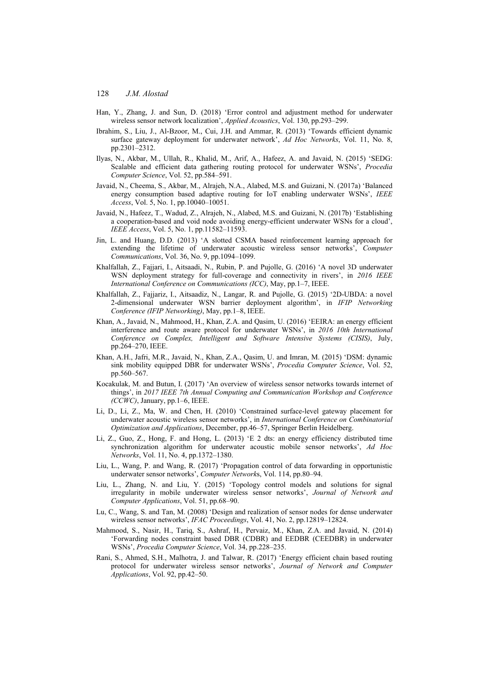- Han, Y., Zhang, J. and Sun, D. (2018) 'Error control and adjustment method for underwater wireless sensor network localization', *Applied Acoustics*, Vol. 130, pp.293–299.
- Ibrahim, S., Liu, J., Al-Bzoor, M., Cui, J.H. and Ammar, R. (2013) 'Towards efficient dynamic surface gateway deployment for underwater network', *Ad Hoc Networks*, Vol. 11, No. 8, pp.2301–2312.
- Ilyas, N., Akbar, M., Ullah, R., Khalid, M., Arif, A., Hafeez, A. and Javaid, N. (2015) 'SEDG: Scalable and efficient data gathering routing protocol for underwater WSNs', *Procedia Computer Science*, Vol. 52, pp.584–591.
- Javaid, N., Cheema, S., Akbar, M., Alrajeh, N.A., Alabed, M.S. and Guizani, N. (2017a) 'Balanced energy consumption based adaptive routing for IoT enabling underwater WSNs', *IEEE Access*, Vol. 5, No. 1, pp.10040–10051.
- Javaid, N., Hafeez, T., Wadud, Z., Alrajeh, N., Alabed, M.S. and Guizani, N. (2017b) 'Establishing a cooperation-based and void node avoiding energy-efficient underwater WSNs for a cloud', *IEEE Access*, Vol. 5, No. 1, pp.11582–11593.
- Jin, L. and Huang, D.D. (2013) 'A slotted CSMA based reinforcement learning approach for extending the lifetime of underwater acoustic wireless sensor networks', *Computer Communications*, Vol. 36, No. 9, pp.1094–1099.
- Khalfallah, Z., Fajjari, I., Aitsaadi, N., Rubin, P. and Pujolle, G. (2016) 'A novel 3D underwater WSN deployment strategy for full-coverage and connectivity in rivers', in *2016 IEEE International Conference on Communications (ICC)*, May, pp.1–7, IEEE.
- Khalfallah, Z., Fajjariz, I., Aitsaadiz, N., Langar, R. and Pujolle, G. (2015) '2D-UBDA: a novel 2-dimensional underwater WSN barrier deployment algorithm', in *IFIP Networking Conference (IFIP Networking)*, May, pp.1–8, IEEE.
- Khan, A., Javaid, N., Mahmood, H., Khan, Z.A. and Qasim, U. (2016) 'EEIRA: an energy efficient interference and route aware protocol for underwater WSNs', in *2016 10th International Conference on Complex, Intelligent and Software Intensive Systems (CISIS)*, July, pp.264–270, IEEE.
- Khan, A.H., Jafri, M.R., Javaid, N., Khan, Z.A., Qasim, U. and Imran, M. (2015) 'DSM: dynamic sink mobility equipped DBR for underwater WSNs', *Procedia Computer Science*, Vol. 52, pp.560–567.
- Kocakulak, M. and Butun, I. (2017) 'An overview of wireless sensor networks towards internet of things', in *2017 IEEE 7th Annual Computing and Communication Workshop and Conference (CCWC)*, January, pp.1–6, IEEE.
- Li, D., Li, Z., Ma, W. and Chen, H. (2010) 'Constrained surface-level gateway placement for underwater acoustic wireless sensor networks', in *International Conference on Combinatorial Optimization and Applications*, December, pp.46–57, Springer Berlin Heidelberg.
- Li, Z., Guo, Z., Hong, F. and Hong, L. (2013) 'E 2 dts: an energy efficiency distributed time synchronization algorithm for underwater acoustic mobile sensor networks', *Ad Hoc Networks*, Vol. 11, No. 4, pp.1372–1380.
- Liu, L., Wang, P. and Wang, R. (2017) 'Propagation control of data forwarding in opportunistic underwater sensor networks', *Computer Network*s, Vol. 114, pp.80–94.
- Liu, L., Zhang, N. and Liu, Y. (2015) 'Topology control models and solutions for signal irregularity in mobile underwater wireless sensor networks', *Journal of Network and Computer Applications*, Vol. 51, pp.68–90.
- Lu, C., Wang, S. and Tan, M. (2008) 'Design and realization of sensor nodes for dense underwater wireless sensor networks', *IFAC Proceedings*, Vol. 41, No. 2, pp.12819–12824.
- Mahmood, S., Nasir, H., Tariq, S., Ashraf, H., Pervaiz, M., Khan, Z.A. and Javaid, N. (2014) 'Forwarding nodes constraint based DBR (CDBR) and EEDBR (CEEDBR) in underwater WSNs', *Procedia Computer Science*, Vol. 34, pp.228–235.
- Rani, S., Ahmed, S.H., Malhotra, J. and Talwar, R. (2017) 'Energy efficient chain based routing protocol for underwater wireless sensor networks', *Journal of Network and Computer Applications*, Vol. 92, pp.42–50.